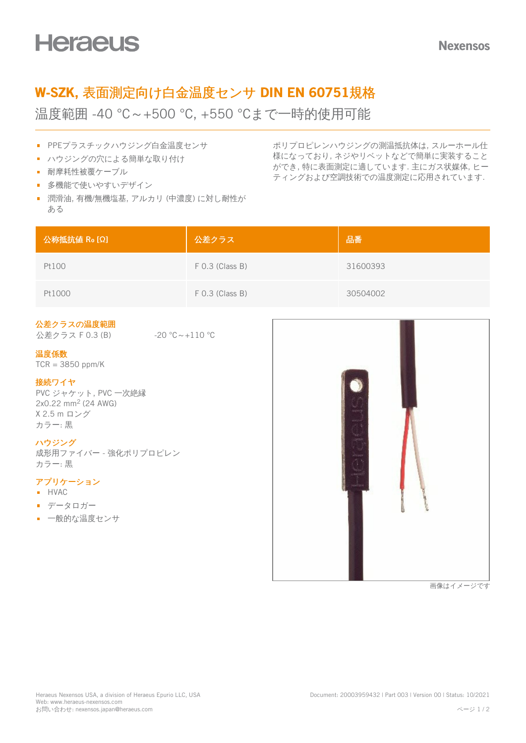# W-SZK, 表面測定向け白金温度センサ DIN EN 60751規格

温度範囲 -40 °C~+500 °C, +550 °Cまで一時的使用可能

- PPEプラスチックハウジング白金温度センサ
- ハウジングの穴による簡単な取り付け
- 耐摩耗性被覆ケーブル
- 多機能で使いやすいデザイン
- 潤滑油, 有機/無機塩基, アルカリ (中濃度) に対し耐性が ある

ポリプロピレンハウジングの測温抵抗体は, スルーホール仕 様になっており, ネジやリベットなどで簡単に実装すること ができ, 特に表面測定に適しています. 主にガス状媒体, ヒー ティングおよび空調技術での温度測定に応用されています.

| 公称抵抗值 Ro [Ω] | 公差クラス             | 品番       |
|--------------|-------------------|----------|
| Pt100        | $F$ 0.3 (Class B) | 31600393 |
| Pt1000       | $F$ 0.3 (Class B) | 30504002 |

### 公差クラスの温度範囲

公差クラス F 0.3 (B) -20 ℃~+110 ℃

#### 温度係数

 $TCR = 3850$  ppm/K

#### 接続ワイヤ

PVC ジャケット, PVC 一次絶縁  $2x0.22 \text{ mm}^2$  (24 AWG) X 2.5 m ロング カラー: 黒

#### ハウジング

成形用ファイバー - 強化ポリプロピレン カラー: 黒

## アプリケーション

- **HVAC**
- データロガー
- 一般的な温度センサ



画像はイメージです